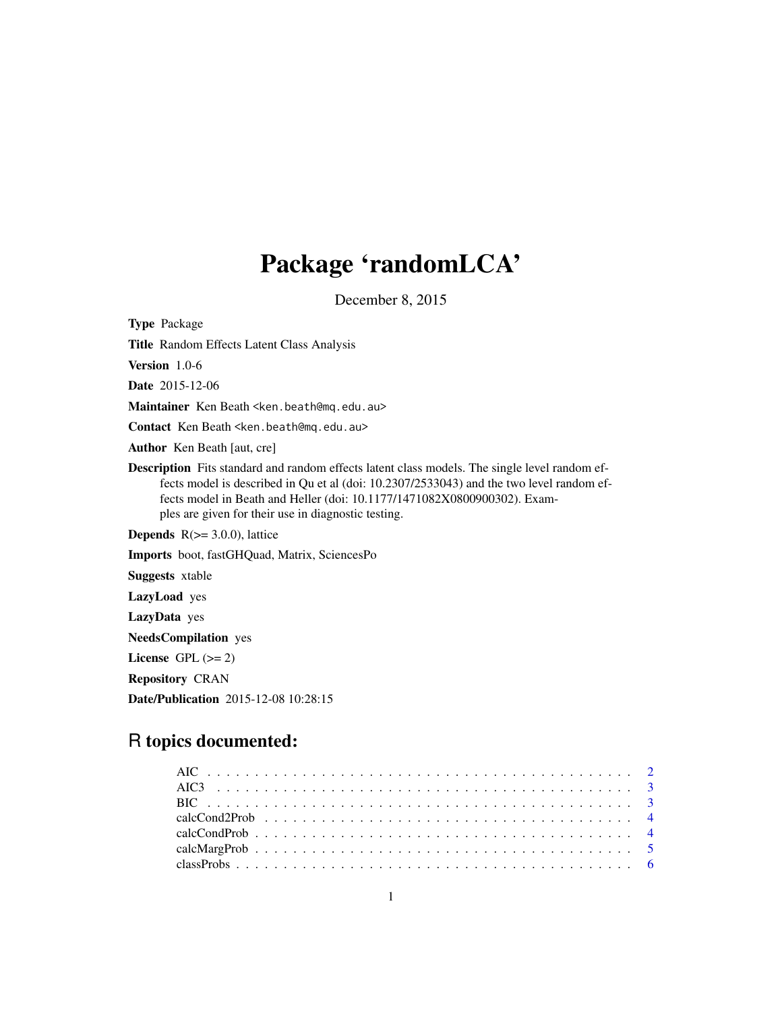# Package 'randomLCA'

December 8, 2015

Type Package Title Random Effects Latent Class Analysis Version 1.0-6 Date 2015-12-06 Maintainer Ken Beath <ken.beath@mq.edu.au> Contact Ken Beath <ken.beath@mq.edu.au> Author Ken Beath [aut, cre] Description Fits standard and random effects latent class models. The single level random effects model is described in Qu et al (doi: 10.2307/2533043) and the two level random effects model in Beath and Heller (doi: 10.1177/1471082X0800900302). Examples are given for their use in diagnostic testing. **Depends**  $R$ ( $>=$  3.0.0), lattice Imports boot, fastGHQuad, Matrix, SciencesPo Suggests xtable LazyLoad yes LazyData yes NeedsCompilation yes License GPL  $(>= 2)$ Repository CRAN Date/Publication 2015-12-08 10:28:15

# R topics documented: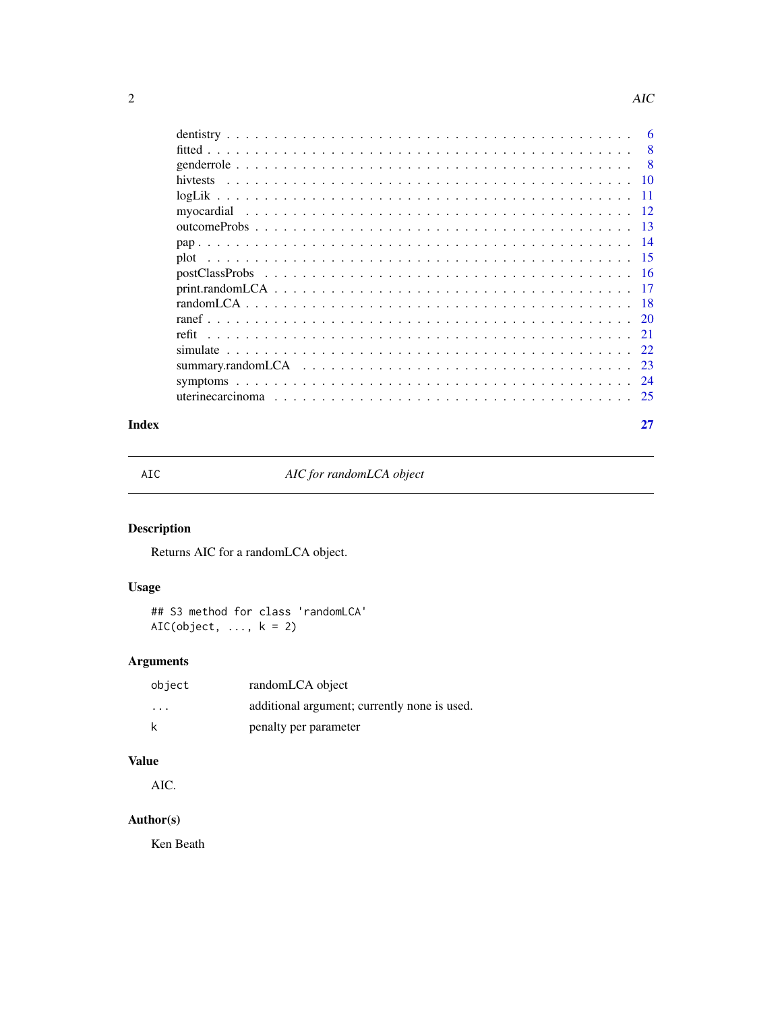<span id="page-1-0"></span>

| -6  |
|-----|
| 8   |
| - 8 |
|     |
|     |
|     |
|     |
|     |
|     |
|     |
|     |
|     |
|     |
|     |
|     |
|     |
|     |
|     |
|     |

#### **Index** [27](#page-26-0)

AIC *AIC for randomLCA object*

# Description

Returns AIC for a randomLCA object.

# Usage

## S3 method for class 'randomLCA'  $AIC(object, ..., k = 2)$ 

# Arguments

| object  | randomLCA object                             |
|---------|----------------------------------------------|
| $\cdot$ | additional argument; currently none is used. |
| k       | penalty per parameter                        |

# Value

AIC.

# Author(s)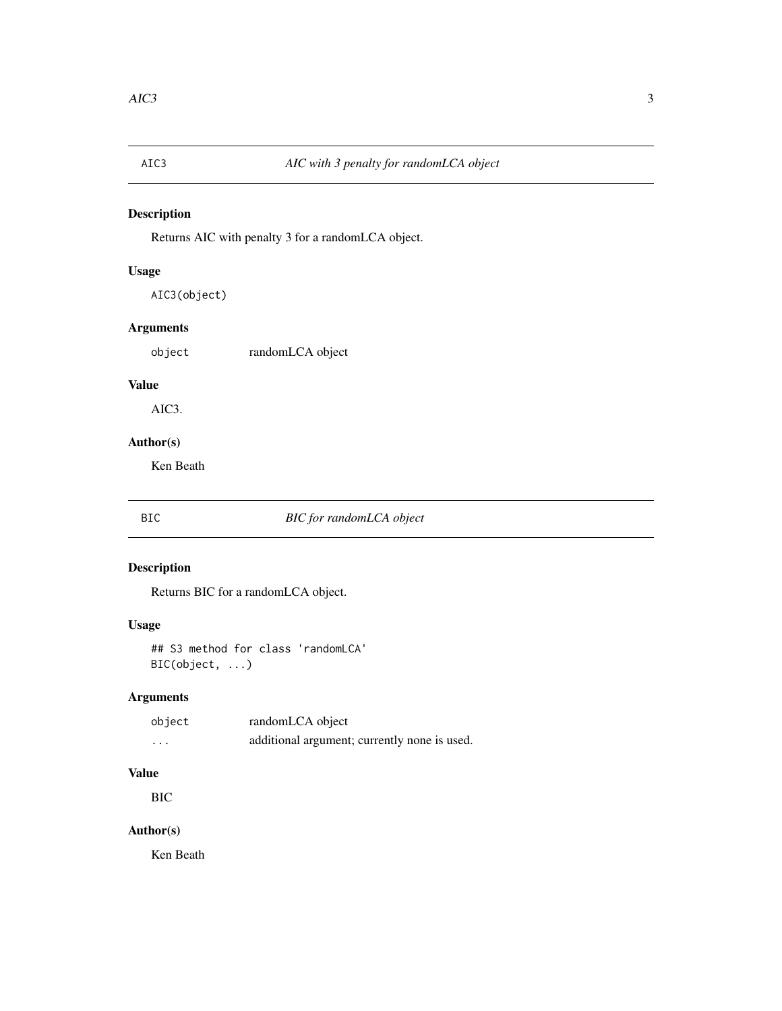<span id="page-2-0"></span>

Returns AIC with penalty 3 for a randomLCA object.

# Usage

AIC3(object)

# Arguments

object randomLCA object

# Value

AIC3.

# Author(s)

Ken Beath

# BIC *BIC for randomLCA object*

# Description

Returns BIC for a randomLCA object.

# Usage

## S3 method for class 'randomLCA' BIC(object, ...)

# Arguments

| object  | randomLCA object                             |
|---------|----------------------------------------------|
| $\cdot$ | additional argument; currently none is used. |

# Value

BIC

# Author(s)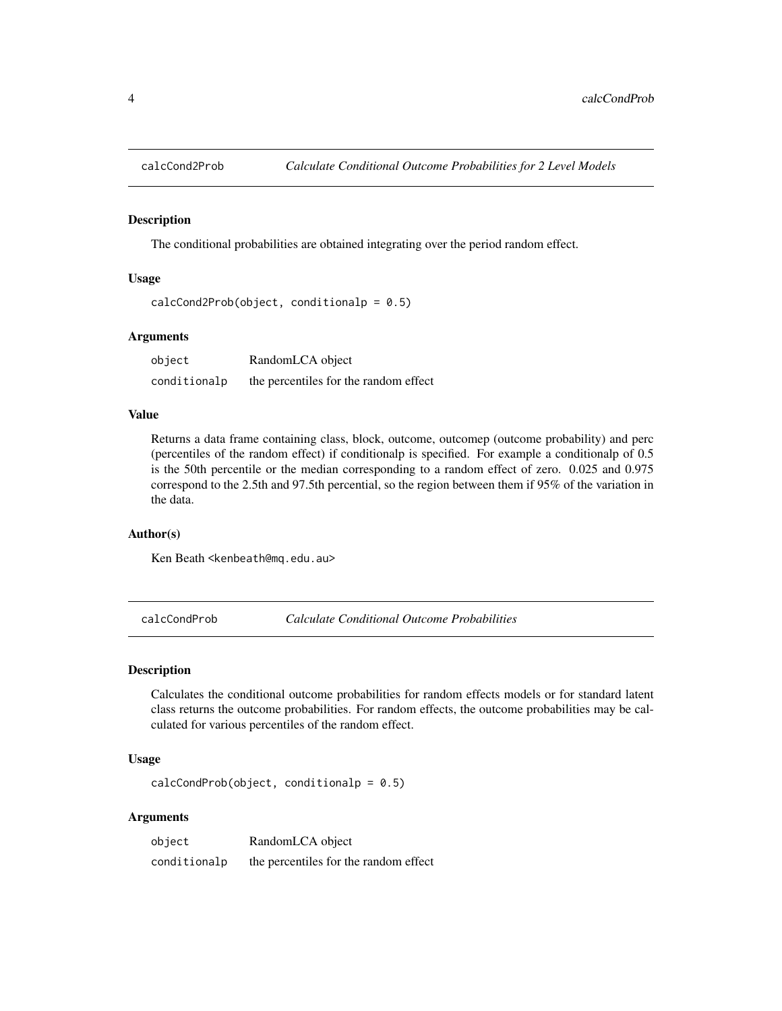<span id="page-3-0"></span>

The conditional probabilities are obtained integrating over the period random effect.

#### Usage

```
calcCond2Prob(object, conditionalp = <math>0.5</math>)
```
# Arguments

| object       | RandomLCA object                      |
|--------------|---------------------------------------|
| conditionalp | the percentiles for the random effect |

# Value

Returns a data frame containing class, block, outcome, outcomep (outcome probability) and perc (percentiles of the random effect) if conditionalp is specified. For example a conditionalp of 0.5 is the 50th percentile or the median corresponding to a random effect of zero. 0.025 and 0.975 correspond to the 2.5th and 97.5th percential, so the region between them if 95% of the variation in the data.

# Author(s)

Ken Beath <kenbeath@mq.edu.au>

<span id="page-3-1"></span>calcCondProb *Calculate Conditional Outcome Probabilities*

#### Description

Calculates the conditional outcome probabilities for random effects models or for standard latent class returns the outcome probabilities. For random effects, the outcome probabilities may be calculated for various percentiles of the random effect.

# Usage

 $calcCondProb(object, conditionalp = 0.5)$ 

#### Arguments

| object       | RandomLCA object                      |
|--------------|---------------------------------------|
| conditionalp | the percentiles for the random effect |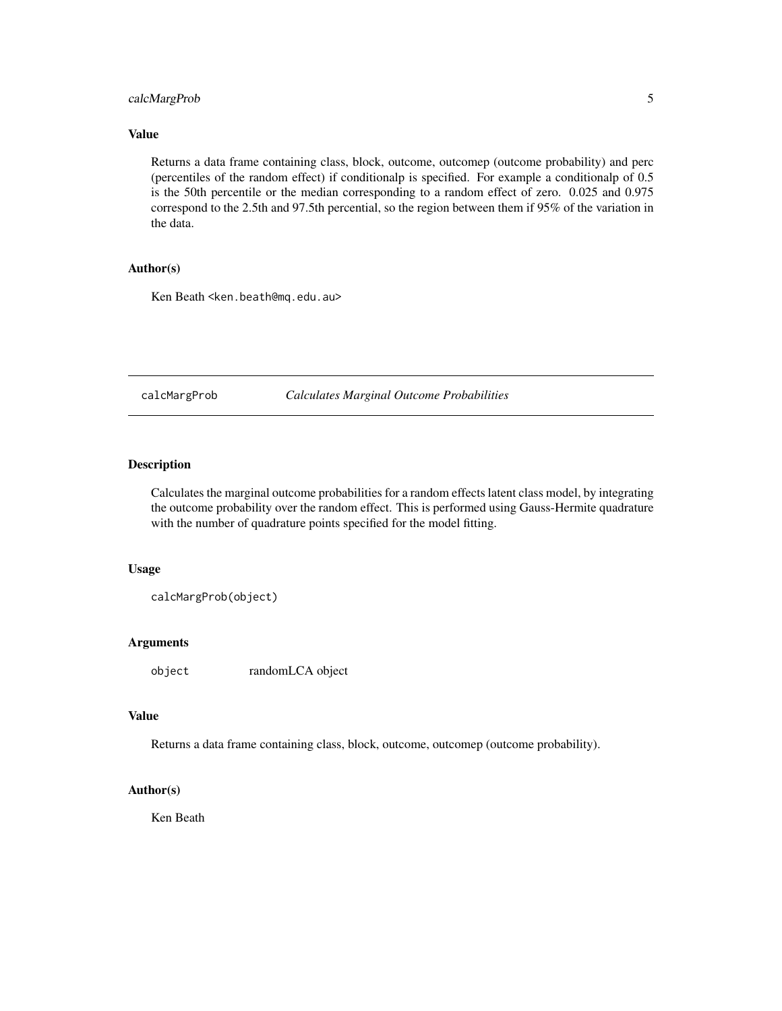# <span id="page-4-0"></span>calcMargProb 5

## Value

Returns a data frame containing class, block, outcome, outcomep (outcome probability) and perc (percentiles of the random effect) if conditionalp is specified. For example a conditionalp of 0.5 is the 50th percentile or the median corresponding to a random effect of zero. 0.025 and 0.975 correspond to the 2.5th and 97.5th percential, so the region between them if 95% of the variation in the data.

# Author(s)

Ken Beath <ken.beath@mq.edu.au>

<span id="page-4-1"></span>calcMargProb *Calculates Marginal Outcome Probabilities*

# Description

Calculates the marginal outcome probabilities for a random effects latent class model, by integrating the outcome probability over the random effect. This is performed using Gauss-Hermite quadrature with the number of quadrature points specified for the model fitting.

#### Usage

calcMargProb(object)

#### Arguments

object randomLCA object

### Value

Returns a data frame containing class, block, outcome, outcomep (outcome probability).

#### Author(s)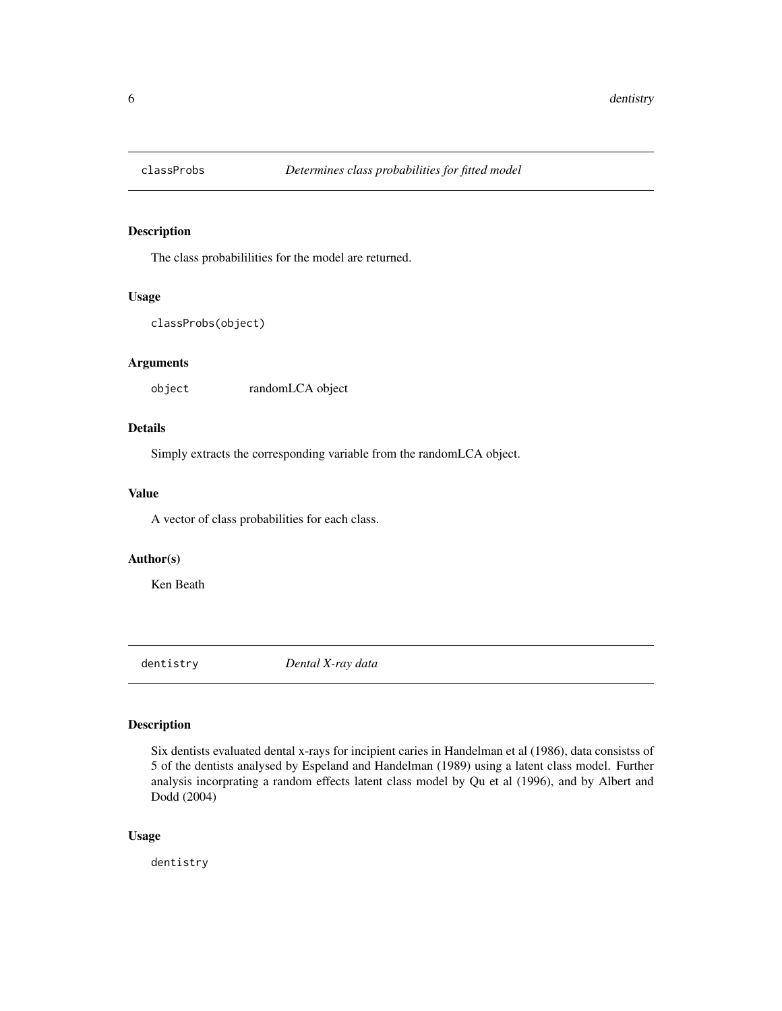<span id="page-5-0"></span>

The class probabililities for the model are returned.

#### Usage

```
classProbs(object)
```
# Arguments

object randomLCA object

# Details

Simply extracts the corresponding variable from the randomLCA object.

# Value

A vector of class probabilities for each class.

#### Author(s)

Ken Beath

dentistry *Dental X-ray data*

# Description

Six dentists evaluated dental x-rays for incipient caries in Handelman et al (1986), data consistss of 5 of the dentists analysed by Espeland and Handelman (1989) using a latent class model. Further analysis incorprating a random effects latent class model by Qu et al (1996), and by Albert and Dodd (2004)

# Usage

dentistry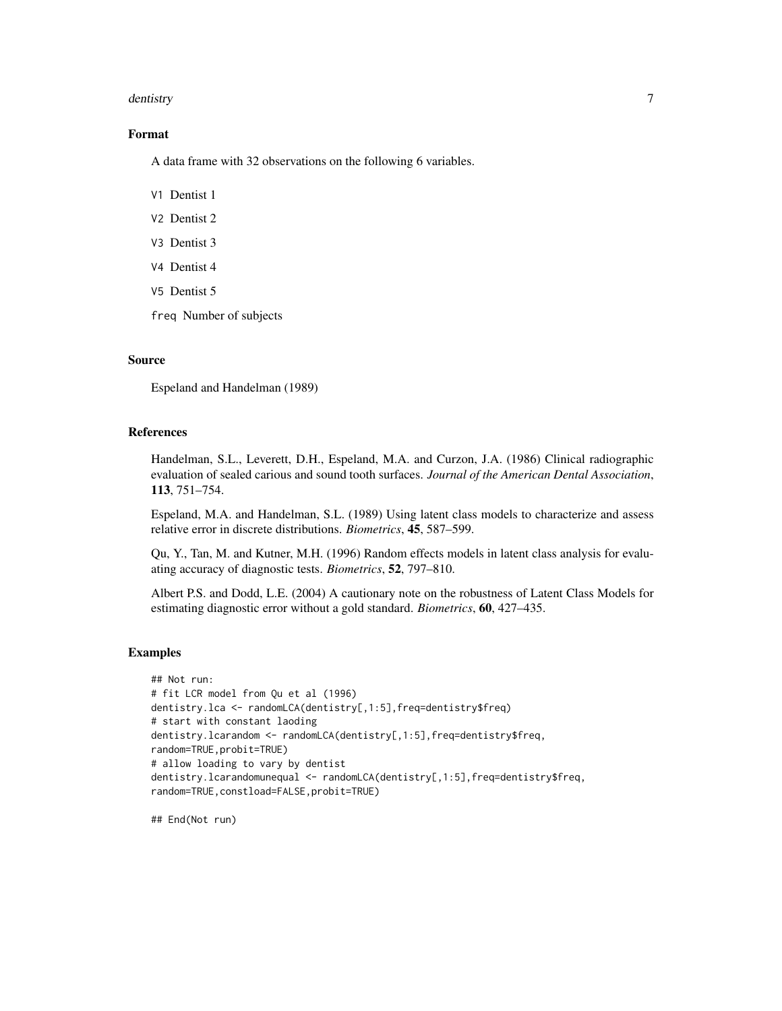#### dentistry 7 and 2008 and 2008 and 2008 and 2008 and 2008 and 2008 and 2008 and 2008 and 2008 and 2008 and 2008  $\sigma$

# Format

A data frame with 32 observations on the following 6 variables.

V1 Dentist 1

- V2 Dentist 2
- V3 Dentist 3
- V4 Dentist 4
- V5 Dentist 5
- freq Number of subjects

### Source

Espeland and Handelman (1989)

# References

Handelman, S.L., Leverett, D.H., Espeland, M.A. and Curzon, J.A. (1986) Clinical radiographic evaluation of sealed carious and sound tooth surfaces. *Journal of the American Dental Association*, 113, 751–754.

Espeland, M.A. and Handelman, S.L. (1989) Using latent class models to characterize and assess relative error in discrete distributions. *Biometrics*, 45, 587–599.

Qu, Y., Tan, M. and Kutner, M.H. (1996) Random effects models in latent class analysis for evaluating accuracy of diagnostic tests. *Biometrics*, 52, 797–810.

Albert P.S. and Dodd, L.E. (2004) A cautionary note on the robustness of Latent Class Models for estimating diagnostic error without a gold standard. *Biometrics*, 60, 427–435.

#### Examples

```
## Not run:
# fit LCR model from Qu et al (1996)
dentistry.lca <- randomLCA(dentistry[,1:5],freq=dentistry$freq)
# start with constant laoding
dentistry.lcarandom <- randomLCA(dentistry[,1:5],freq=dentistry$freq,
random=TRUE,probit=TRUE)
# allow loading to vary by dentist
dentistry.lcarandomunequal <- randomLCA(dentistry[,1:5],freq=dentistry$freq,
random=TRUE,constload=FALSE,probit=TRUE)
```
## End(Not run)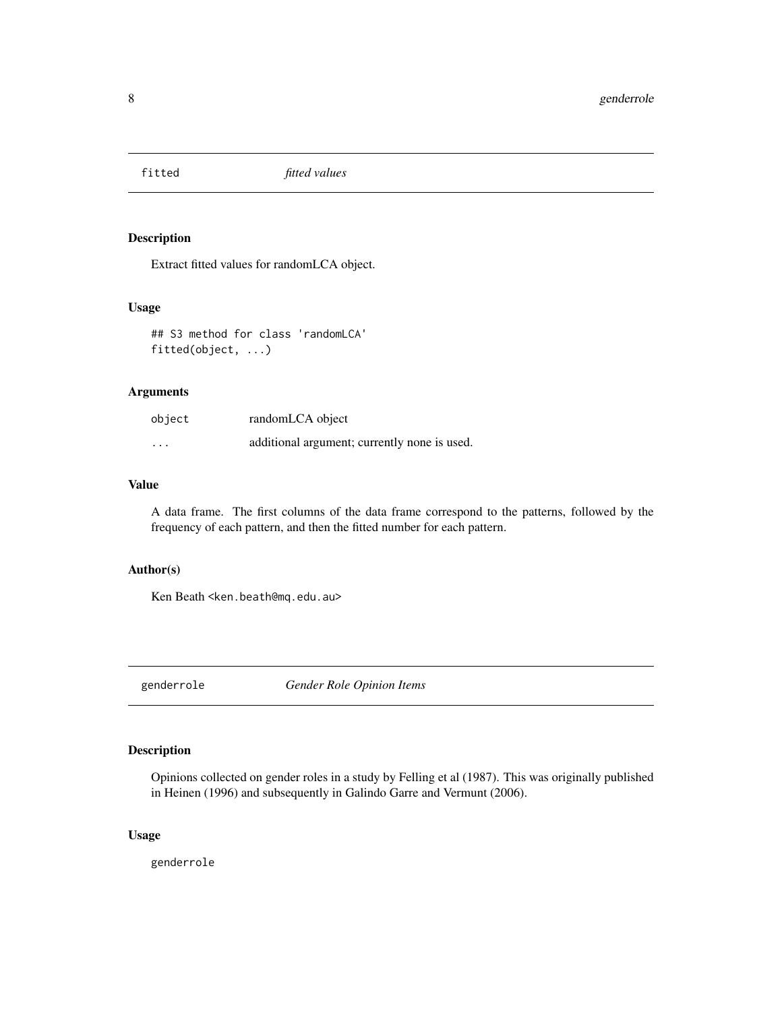<span id="page-7-0"></span>

Extract fitted values for randomLCA object.

#### Usage

## S3 method for class 'randomLCA' fitted(object, ...)

# Arguments

| object   | randomLCA object                             |
|----------|----------------------------------------------|
| $\cdots$ | additional argument; currently none is used. |

# Value

A data frame. The first columns of the data frame correspond to the patterns, followed by the frequency of each pattern, and then the fitted number for each pattern.

# Author(s)

Ken Beath < ken.beath@mq.edu.au>

genderrole *Gender Role Opinion Items*

# Description

Opinions collected on gender roles in a study by Felling et al (1987). This was originally published in Heinen (1996) and subsequently in Galindo Garre and Vermunt (2006).

# Usage

genderrole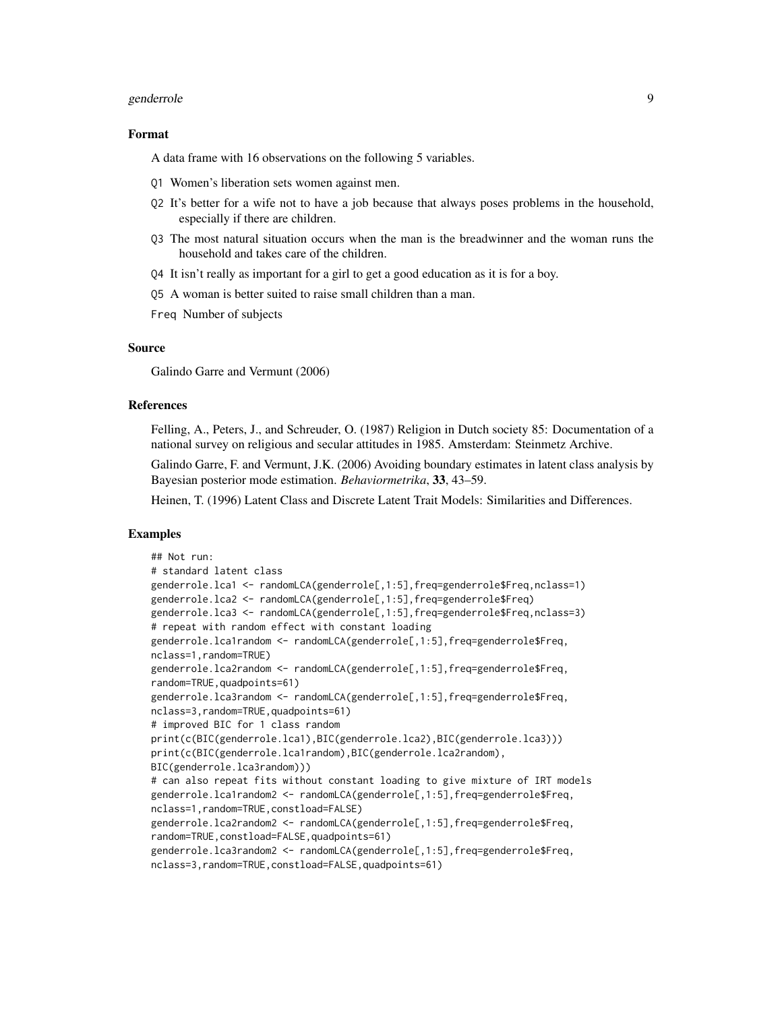#### genderrole **9**9

#### Format

A data frame with 16 observations on the following 5 variables.

- Q1 Women's liberation sets women against men.
- Q2 It's better for a wife not to have a job because that always poses problems in the household, especially if there are children.
- Q3 The most natural situation occurs when the man is the breadwinner and the woman runs the household and takes care of the children.
- Q4 It isn't really as important for a girl to get a good education as it is for a boy.
- Q5 A woman is better suited to raise small children than a man.

Freq Number of subjects

#### Source

Galindo Garre and Vermunt (2006)

#### References

Felling, A., Peters, J., and Schreuder, O. (1987) Religion in Dutch society 85: Documentation of a national survey on religious and secular attitudes in 1985. Amsterdam: Steinmetz Archive.

Galindo Garre, F. and Vermunt, J.K. (2006) Avoiding boundary estimates in latent class analysis by Bayesian posterior mode estimation. *Behaviormetrika*, 33, 43–59.

Heinen, T. (1996) Latent Class and Discrete Latent Trait Models: Similarities and Differences.

#### Examples

```
## Not run:
# standard latent class
genderrole.lca1 <- randomLCA(genderrole[,1:5],freq=genderrole$Freq,nclass=1)
genderrole.lca2 <- randomLCA(genderrole[,1:5],freq=genderrole$Freq)
genderrole.lca3 <- randomLCA(genderrole[,1:5],freq=genderrole$Freq,nclass=3)
# repeat with random effect with constant loading
genderrole.lca1random <- randomLCA(genderrole[,1:5],freq=genderrole$Freq,
nclass=1,random=TRUE)
genderrole.lca2random <- randomLCA(genderrole[,1:5],freq=genderrole$Freq,
random=TRUE,quadpoints=61)
genderrole.lca3random <- randomLCA(genderrole[,1:5],freq=genderrole$Freq,
nclass=3,random=TRUE,quadpoints=61)
# improved BIC for 1 class random
print(c(BIC(genderrole.lca1),BIC(genderrole.lca2),BIC(genderrole.lca3)))
print(c(BIC(genderrole.lca1random),BIC(genderrole.lca2random),
BIC(genderrole.lca3random)))
# can also repeat fits without constant loading to give mixture of IRT models
genderrole.lca1random2 <- randomLCA(genderrole[,1:5],freq=genderrole$Freq,
nclass=1,random=TRUE,constload=FALSE)
genderrole.lca2random2 <- randomLCA(genderrole[,1:5],freq=genderrole$Freq,
random=TRUE,constload=FALSE,quadpoints=61)
genderrole.lca3random2 <- randomLCA(genderrole[,1:5],freq=genderrole$Freq,
nclass=3,random=TRUE,constload=FALSE,quadpoints=61)
```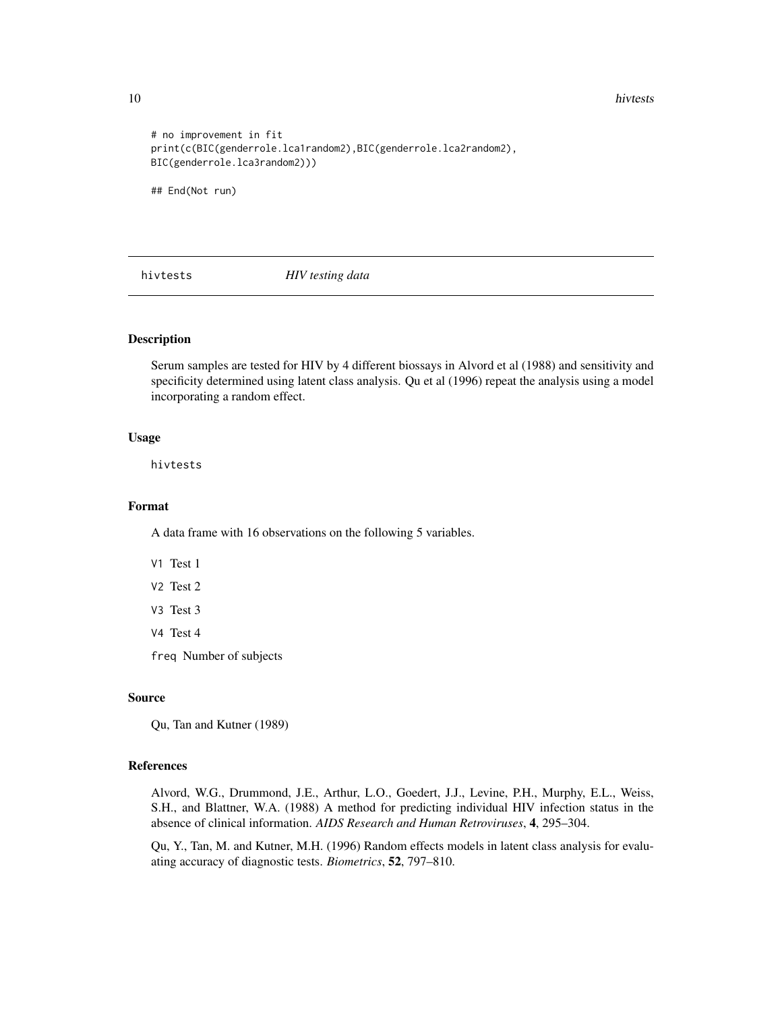<span id="page-9-0"></span>10 hivtests

```
# no improvement in fit
print(c(BIC(genderrole.lca1random2),BIC(genderrole.lca2random2),
BIC(genderrole.lca3random2)))
```
## End(Not run)

hivtests *HIV testing data*

#### Description

Serum samples are tested for HIV by 4 different biossays in Alvord et al (1988) and sensitivity and specificity determined using latent class analysis. Qu et al (1996) repeat the analysis using a model incorporating a random effect.

#### Usage

hivtests

#### Format

A data frame with 16 observations on the following 5 variables.

- V1 Test 1
- V2 Test 2
- V3 Test 3
- V4 Test 4

freq Number of subjects

#### Source

Qu, Tan and Kutner (1989)

# References

Alvord, W.G., Drummond, J.E., Arthur, L.O., Goedert, J.J., Levine, P.H., Murphy, E.L., Weiss, S.H., and Blattner, W.A. (1988) A method for predicting individual HIV infection status in the absence of clinical information. *AIDS Research and Human Retroviruses*, 4, 295–304.

Qu, Y., Tan, M. and Kutner, M.H. (1996) Random effects models in latent class analysis for evaluating accuracy of diagnostic tests. *Biometrics*, 52, 797–810.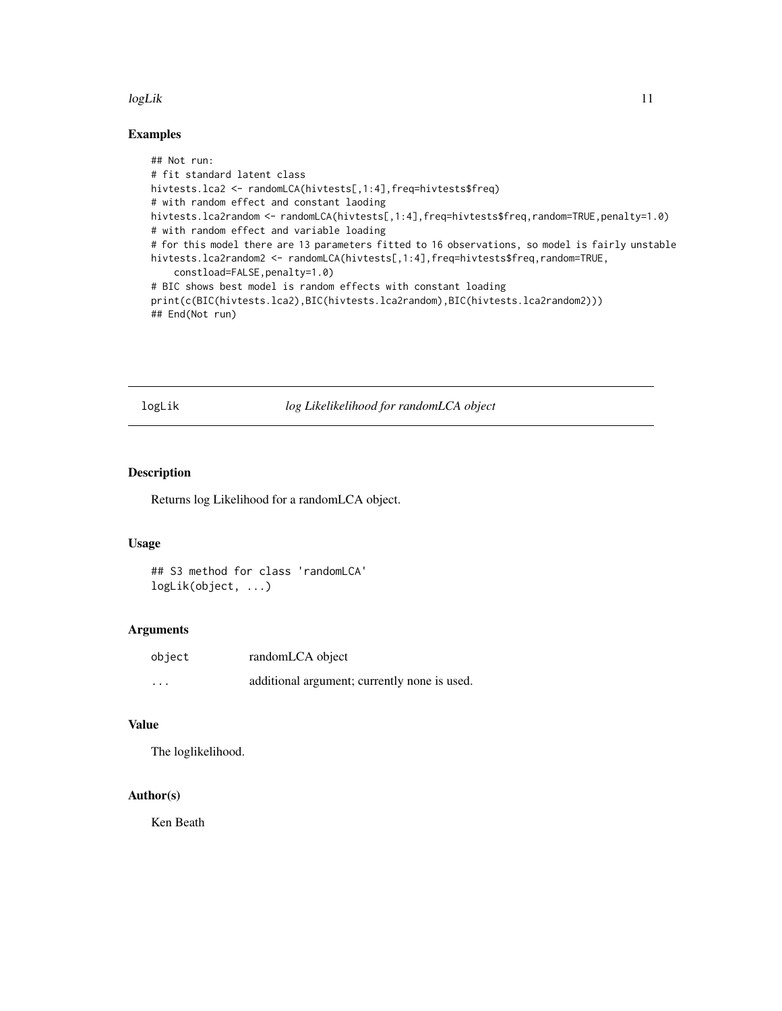#### <span id="page-10-0"></span>logLik to the contract of the contract of the contract of the contract of the contract of the contract of the contract of the contract of the contract of the contract of the contract of the contract of the contract of the

# Examples

```
## Not run:
# fit standard latent class
hivtests.lca2 <- randomLCA(hivtests[,1:4],freq=hivtests$freq)
# with random effect and constant laoding
hivtests.lca2random <- randomLCA(hivtests[,1:4],freq=hivtests$freq,random=TRUE,penalty=1.0)
# with random effect and variable loading
# for this model there are 13 parameters fitted to 16 observations, so model is fairly unstable
hivtests.lca2random2 <- randomLCA(hivtests[,1:4],freq=hivtests$freq,random=TRUE,
    constload=FALSE,penalty=1.0)
# BIC shows best model is random effects with constant loading
print(c(BIC(hivtests.lca2),BIC(hivtests.lca2random),BIC(hivtests.lca2random2)))
## End(Not run)
```
logLik *log Likelikelihood for randomLCA object*

### Description

Returns log Likelihood for a randomLCA object.

# Usage

```
## S3 method for class 'randomLCA'
logLik(object, ...)
```
#### Arguments

| object   | randomLCA object                             |
|----------|----------------------------------------------|
| $\cdots$ | additional argument; currently none is used. |

# Value

The loglikelihood.

### Author(s)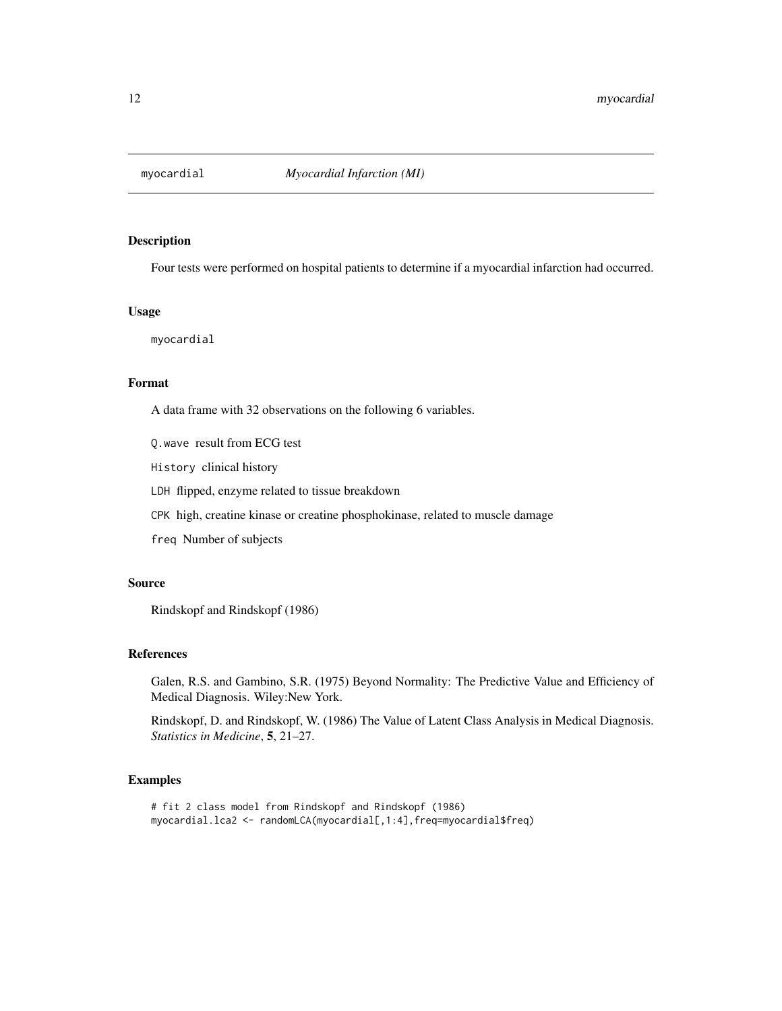<span id="page-11-0"></span>

Four tests were performed on hospital patients to determine if a myocardial infarction had occurred.

#### Usage

myocardial

# Format

A data frame with 32 observations on the following 6 variables.

Q.wave result from ECG test

History clinical history

LDH flipped, enzyme related to tissue breakdown

CPK high, creatine kinase or creatine phosphokinase, related to muscle damage

freq Number of subjects

#### Source

Rindskopf and Rindskopf (1986)

#### References

Galen, R.S. and Gambino, S.R. (1975) Beyond Normality: The Predictive Value and Efficiency of Medical Diagnosis. Wiley:New York.

Rindskopf, D. and Rindskopf, W. (1986) The Value of Latent Class Analysis in Medical Diagnosis. *Statistics in Medicine*, 5, 21–27.

# Examples

```
# fit 2 class model from Rindskopf and Rindskopf (1986)
myocardial.lca2 <- randomLCA(myocardial[,1:4],freq=myocardial$freq)
```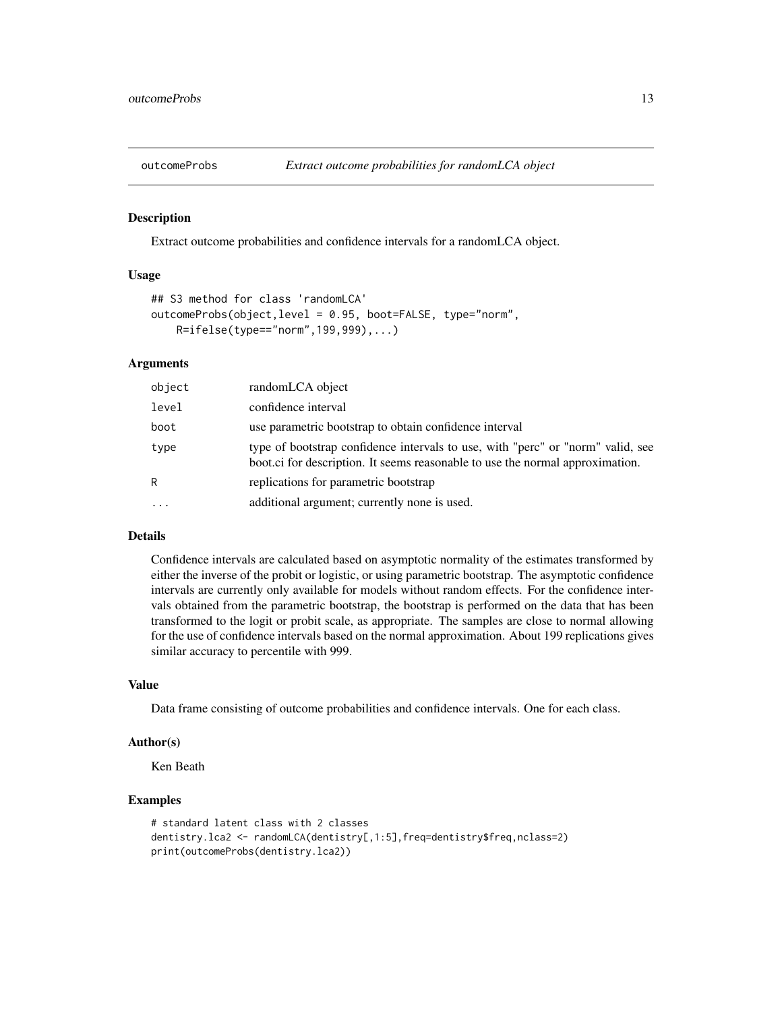<span id="page-12-0"></span>

Extract outcome probabilities and confidence intervals for a randomLCA object.

#### Usage

```
## S3 method for class 'randomLCA'
outcomeProbs(object,level = 0.95, boot=FALSE, type="norm",
    R=ifelse(type=="norm",199,999),...)
```
# Arguments

| object | randomLCA object                                                                                                                                                 |
|--------|------------------------------------------------------------------------------------------------------------------------------------------------------------------|
| level  | confidence interval                                                                                                                                              |
| boot   | use parametric bootstrap to obtain confidence interval                                                                                                           |
| type   | type of bootstrap confidence intervals to use, with "perc" or "norm" valid, see<br>boot.ci for description. It seems reasonable to use the normal approximation. |
| R      | replications for parametric bootstrap                                                                                                                            |
| .      | additional argument; currently none is used.                                                                                                                     |

#### Details

Confidence intervals are calculated based on asymptotic normality of the estimates transformed by either the inverse of the probit or logistic, or using parametric bootstrap. The asymptotic confidence intervals are currently only available for models without random effects. For the confidence intervals obtained from the parametric bootstrap, the bootstrap is performed on the data that has been transformed to the logit or probit scale, as appropriate. The samples are close to normal allowing for the use of confidence intervals based on the normal approximation. About 199 replications gives similar accuracy to percentile with 999.

### Value

Data frame consisting of outcome probabilities and confidence intervals. One for each class.

#### Author(s)

Ken Beath

# Examples

```
# standard latent class with 2 classes
dentistry.lca2 <- randomLCA(dentistry[,1:5],freq=dentistry$freq,nclass=2)
print(outcomeProbs(dentistry.lca2))
```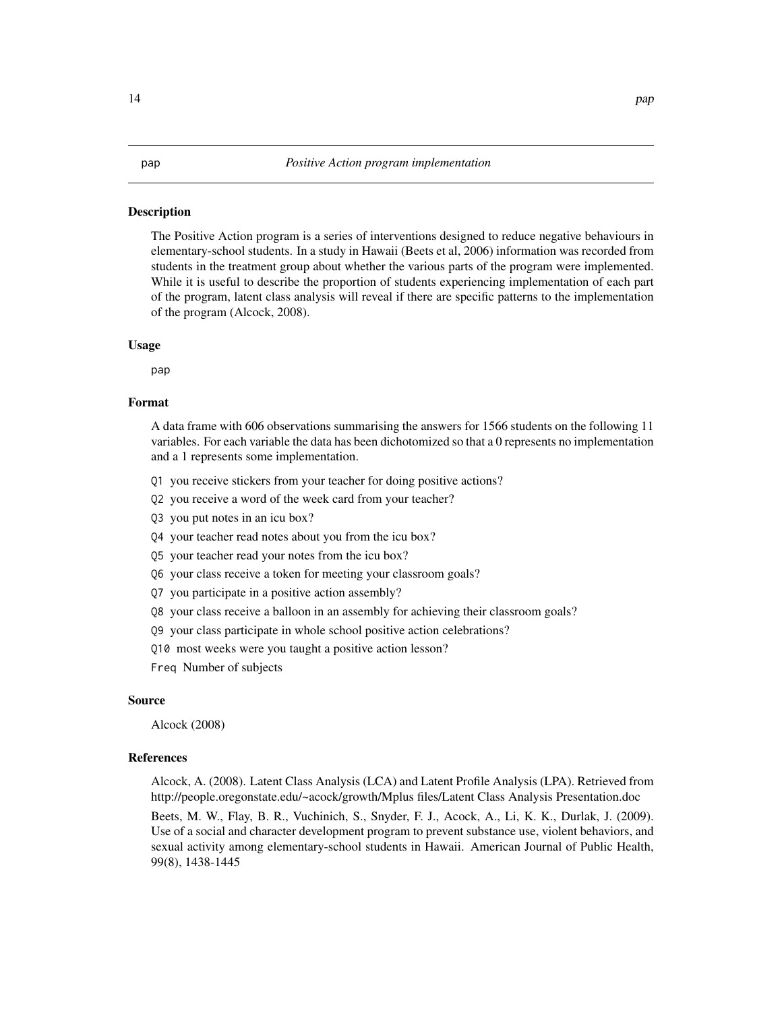<span id="page-13-0"></span>The Positive Action program is a series of interventions designed to reduce negative behaviours in elementary-school students. In a study in Hawaii (Beets et al, 2006) information was recorded from students in the treatment group about whether the various parts of the program were implemented. While it is useful to describe the proportion of students experiencing implementation of each part of the program, latent class analysis will reveal if there are specific patterns to the implementation of the program (Alcock, 2008).

#### Usage

pap

#### Format

A data frame with 606 observations summarising the answers for 1566 students on the following 11 variables. For each variable the data has been dichotomized so that a 0 represents no implementation and a 1 represents some implementation.

- Q1 you receive stickers from your teacher for doing positive actions?
- Q2 you receive a word of the week card from your teacher?
- Q3 you put notes in an icu box?
- Q4 your teacher read notes about you from the icu box?
- Q5 your teacher read your notes from the icu box?
- Q6 your class receive a token for meeting your classroom goals?
- Q7 you participate in a positive action assembly?
- Q8 your class receive a balloon in an assembly for achieving their classroom goals?
- Q9 your class participate in whole school positive action celebrations?
- Q10 most weeks were you taught a positive action lesson?

Freq Number of subjects

#### Source

Alcock (2008)

#### References

Alcock, A. (2008). Latent Class Analysis (LCA) and Latent Profile Analysis (LPA). Retrieved from http://people.oregonstate.edu/~acock/growth/Mplus files/Latent Class Analysis Presentation.doc

Beets, M. W., Flay, B. R., Vuchinich, S., Snyder, F. J., Acock, A., Li, K. K., Durlak, J. (2009). Use of a social and character development program to prevent substance use, violent behaviors, and sexual activity among elementary-school students in Hawaii. American Journal of Public Health, 99(8), 1438-1445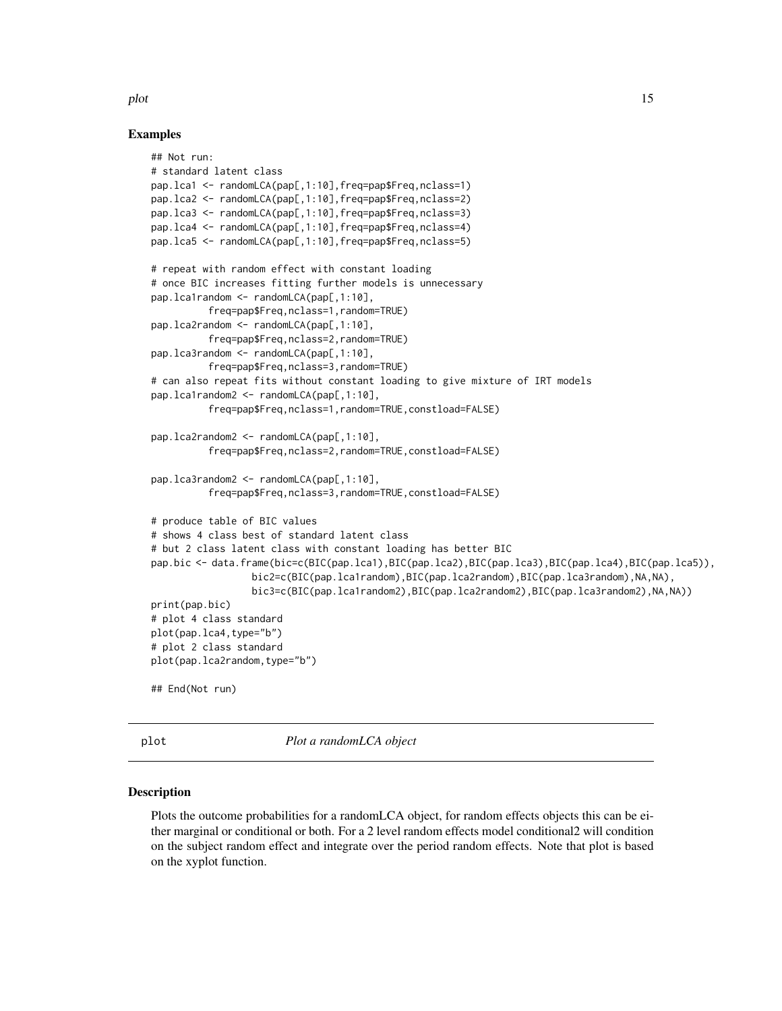#### <span id="page-14-0"></span>plot the state of the state of the state of the state of the state of the state of the state of the state of the state of the state of the state of the state of the state of the state of the state of the state of the state

#### Examples

```
## Not run:
# standard latent class
pap.lca1 <- randomLCA(pap[,1:10],freq=pap$Freq,nclass=1)
pap.lca2 <- randomLCA(pap[,1:10],freq=pap$Freq,nclass=2)
pap.lca3 <- randomLCA(pap[,1:10],freq=pap$Freq,nclass=3)
pap.lca4 <- randomLCA(pap[,1:10],freq=pap$Freq,nclass=4)
pap.lca5 <- randomLCA(pap[,1:10],freq=pap$Freq,nclass=5)
# repeat with random effect with constant loading
# once BIC increases fitting further models is unnecessary
pap.lca1random <- randomLCA(pap[,1:10],
          freq=pap$Freq,nclass=1,random=TRUE)
pap.lca2random <- randomLCA(pap[,1:10],
          freq=pap$Freq,nclass=2,random=TRUE)
pap.lca3random <- randomLCA(pap[,1:10],
          freq=pap$Freq,nclass=3,random=TRUE)
# can also repeat fits without constant loading to give mixture of IRT models
pap.lca1random2 <- randomLCA(pap[,1:10],
          freq=pap$Freq,nclass=1,random=TRUE,constload=FALSE)
pap.lca2random2 <- randomLCA(pap[,1:10],
          freq=pap$Freq,nclass=2,random=TRUE,constload=FALSE)
pap.lca3random2 <- randomLCA(pap[,1:10],
          freq=pap$Freq,nclass=3,random=TRUE,constload=FALSE)
# produce table of BIC values
# shows 4 class best of standard latent class
# but 2 class latent class with constant loading has better BIC
pap.bic <- data.frame(bic=c(BIC(pap.lca1),BIC(pap.lca2),BIC(pap.lca3),BIC(pap.lca4),BIC(pap.lca5)),
                 bic2=c(BIC(pap.lca1random),BIC(pap.lca2random),BIC(pap.lca3random),NA,NA),
                 bic3=c(BIC(pap.lca1random2),BIC(pap.lca2random2),BIC(pap.lca3random2),NA,NA))
print(pap.bic)
# plot 4 class standard
plot(pap.lca4,type="b")
# plot 2 class standard
plot(pap.lca2random,type="b")
## End(Not run)
```
plot *Plot a randomLCA object*

#### Description

Plots the outcome probabilities for a randomLCA object, for random effects objects this can be either marginal or conditional or both. For a 2 level random effects model conditional2 will condition on the subject random effect and integrate over the period random effects. Note that plot is based on the xyplot function.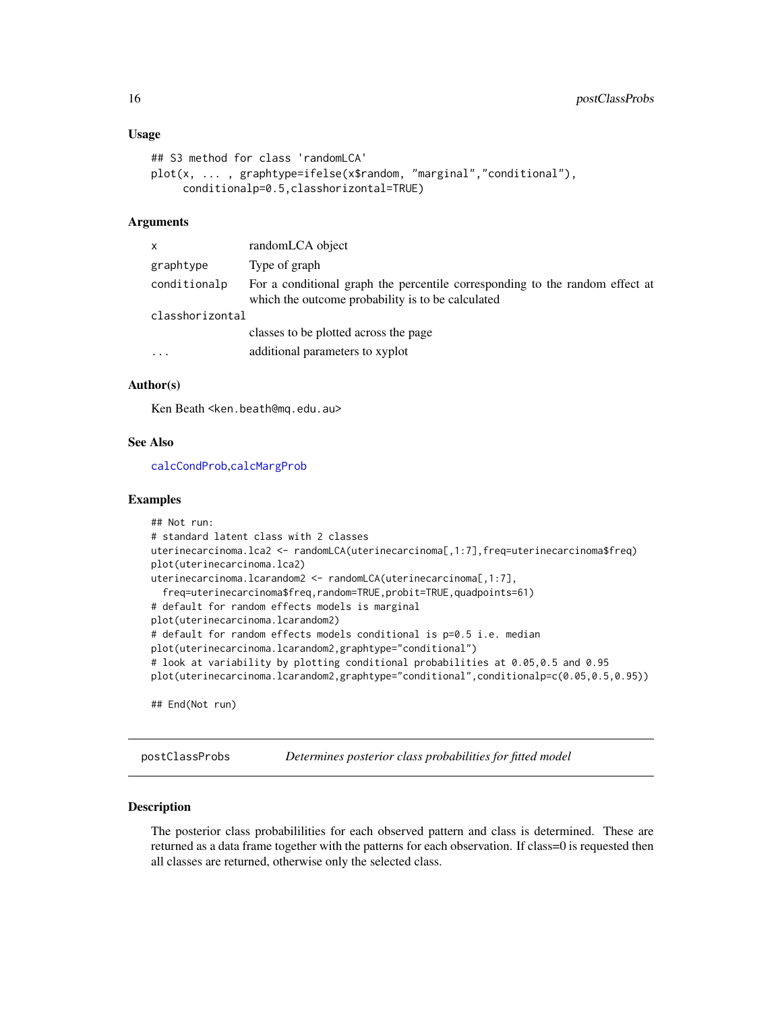#### <span id="page-15-0"></span>Usage

```
## S3 method for class 'randomLCA'
plot(x, ... , graphtype=ifelse(x$random, "marginal","conditional"),
     conditionalp=0.5,classhorizontal=TRUE)
```
#### Arguments

| X               | randomLCA object                                                                                                                  |
|-----------------|-----------------------------------------------------------------------------------------------------------------------------------|
| graphtype       | Type of graph                                                                                                                     |
| conditionalp    | For a conditional graph the percentile corresponding to the random effect at<br>which the outcome probability is to be calculated |
| classhorizontal |                                                                                                                                   |
|                 | classes to be plotted across the page                                                                                             |
| $\ddotsc$       | additional parameters to xyplot                                                                                                   |
|                 |                                                                                                                                   |

### Author(s)

Ken Beath <ken.beath@mq.edu.au>

# See Also

[calcCondProb](#page-3-1),[calcMargProb](#page-4-1)

#### Examples

```
## Not run:
# standard latent class with 2 classes
uterinecarcinoma.lca2 <- randomLCA(uterinecarcinoma[,1:7],freq=uterinecarcinoma$freq)
plot(uterinecarcinoma.lca2)
uterinecarcinoma.lcarandom2 <- randomLCA(uterinecarcinoma[,1:7],
  freq=uterinecarcinoma$freq,random=TRUE,probit=TRUE,quadpoints=61)
# default for random effects models is marginal
plot(uterinecarcinoma.lcarandom2)
# default for random effects models conditional is p=0.5 i.e. median
plot(uterinecarcinoma.lcarandom2,graphtype="conditional")
# look at variability by plotting conditional probabilities at 0.05,0.5 and 0.95
plot(uterinecarcinoma.lcarandom2,graphtype="conditional",conditionalp=c(0.05,0.5,0.95))
## End(Not run)
```
postClassProbs *Determines posterior class probabilities for fitted model*

#### Description

The posterior class probabililities for each observed pattern and class is determined. These are returned as a data frame together with the patterns for each observation. If class=0 is requested then all classes are returned, otherwise only the selected class.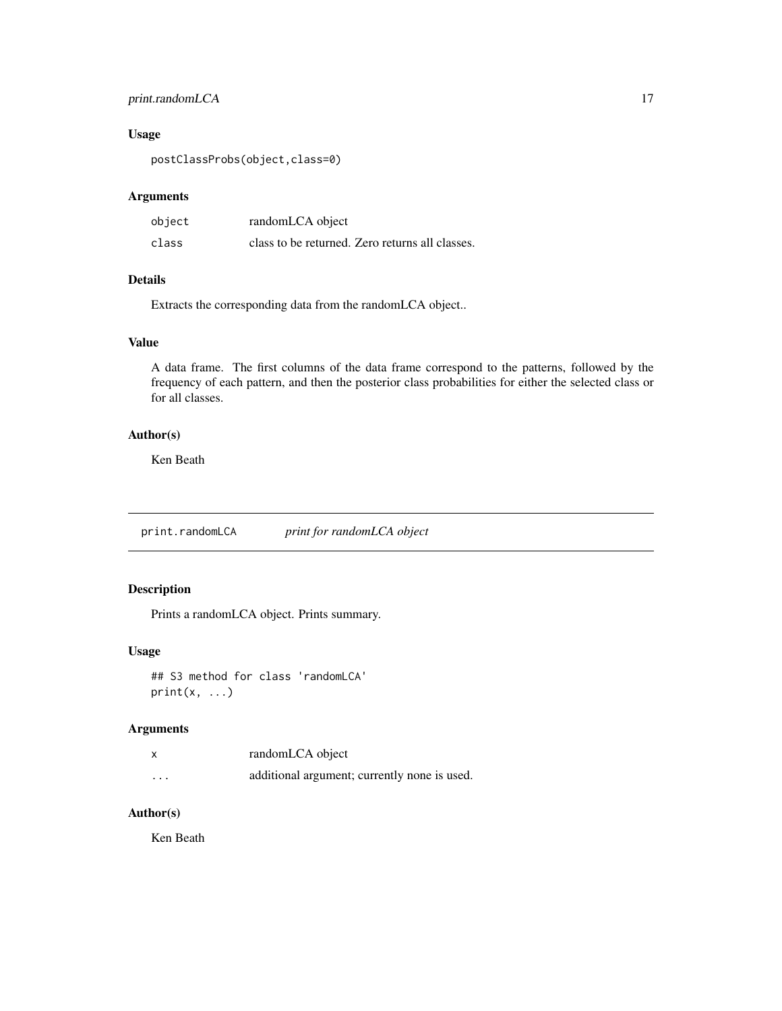# <span id="page-16-0"></span>print.randomLCA 17

# Usage

postClassProbs(object,class=0)

# Arguments

| object | randomLCA object                                |
|--------|-------------------------------------------------|
| class  | class to be returned. Zero returns all classes. |

# Details

Extracts the corresponding data from the randomLCA object..

# Value

A data frame. The first columns of the data frame correspond to the patterns, followed by the frequency of each pattern, and then the posterior class probabilities for either the selected class or for all classes.

# Author(s)

Ken Beath

print.randomLCA *print for randomLCA object*

# Description

Prints a randomLCA object. Prints summary.

# Usage

```
## S3 method for class 'randomLCA'
print(x, \ldots)
```
# Arguments

| x        | randomLCA object                             |
|----------|----------------------------------------------|
| $\cdots$ | additional argument; currently none is used. |

# Author(s)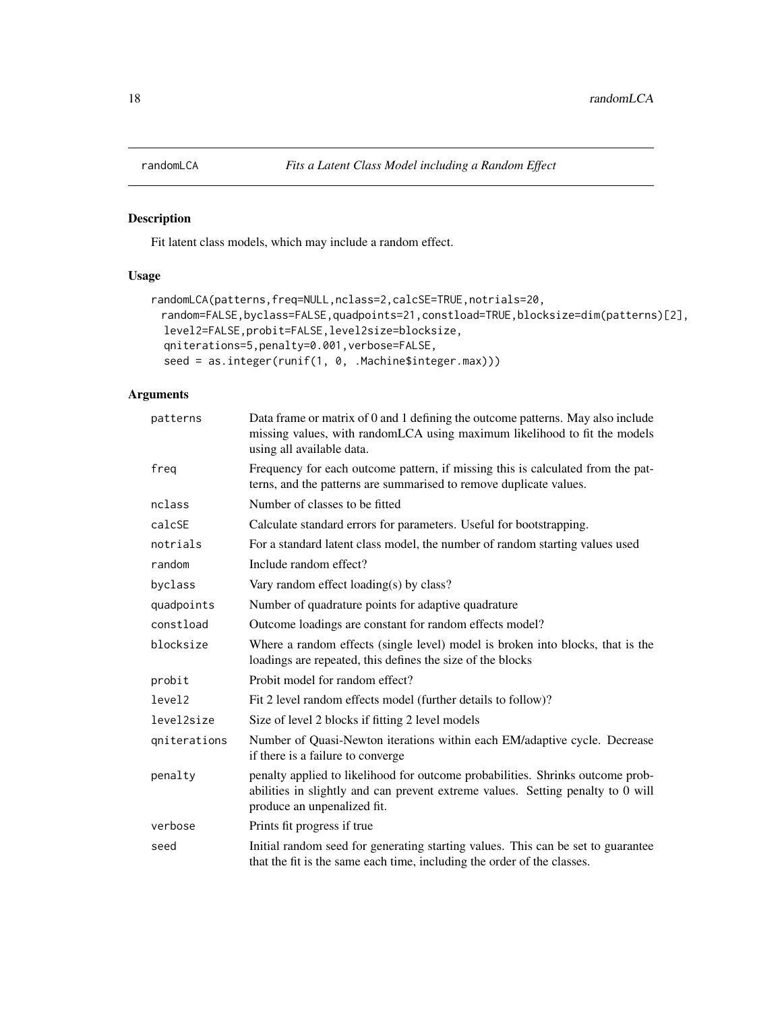<span id="page-17-0"></span>

Fit latent class models, which may include a random effect.

# Usage

```
randomLCA(patterns,freq=NULL,nclass=2,calcSE=TRUE,notrials=20,
 random=FALSE,byclass=FALSE,quadpoints=21,constload=TRUE,blocksize=dim(patterns)[2],
 level2=FALSE,probit=FALSE,level2size=blocksize,
 qniterations=5,penalty=0.001,verbose=FALSE,
 seed = as.integer(runif(1, 0, .Machine$integer.max)))
```
# Arguments

| patterns           | Data frame or matrix of 0 and 1 defining the outcome patterns. May also include<br>missing values, with randomLCA using maximum likelihood to fit the models<br>using all available data.        |
|--------------------|--------------------------------------------------------------------------------------------------------------------------------------------------------------------------------------------------|
| freq               | Frequency for each outcome pattern, if missing this is calculated from the pat-<br>terns, and the patterns are summarised to remove duplicate values.                                            |
| nclass             | Number of classes to be fitted                                                                                                                                                                   |
| calcSE             | Calculate standard errors for parameters. Useful for bootstrapping.                                                                                                                              |
| notrials           | For a standard latent class model, the number of random starting values used                                                                                                                     |
| random             | Include random effect?                                                                                                                                                                           |
| byclass            | Vary random effect loading(s) by class?                                                                                                                                                          |
| quadpoints         | Number of quadrature points for adaptive quadrature                                                                                                                                              |
| constload          | Outcome loadings are constant for random effects model?                                                                                                                                          |
| blocksize          | Where a random effects (single level) model is broken into blocks, that is the<br>loadings are repeated, this defines the size of the blocks                                                     |
| probit             | Probit model for random effect?                                                                                                                                                                  |
| level <sub>2</sub> | Fit 2 level random effects model (further details to follow)?                                                                                                                                    |
| level2size         | Size of level 2 blocks if fitting 2 level models                                                                                                                                                 |
| qniterations       | Number of Quasi-Newton iterations within each EM/adaptive cycle. Decrease<br>if there is a failure to converge.                                                                                  |
| penalty            | penalty applied to likelihood for outcome probabilities. Shrinks outcome prob-<br>abilities in slightly and can prevent extreme values. Setting penalty to 0 will<br>produce an unpenalized fit. |
| verbose            | Prints fit progress if true                                                                                                                                                                      |
| seed               | Initial random seed for generating starting values. This can be set to guarantee<br>that the fit is the same each time, including the order of the classes.                                      |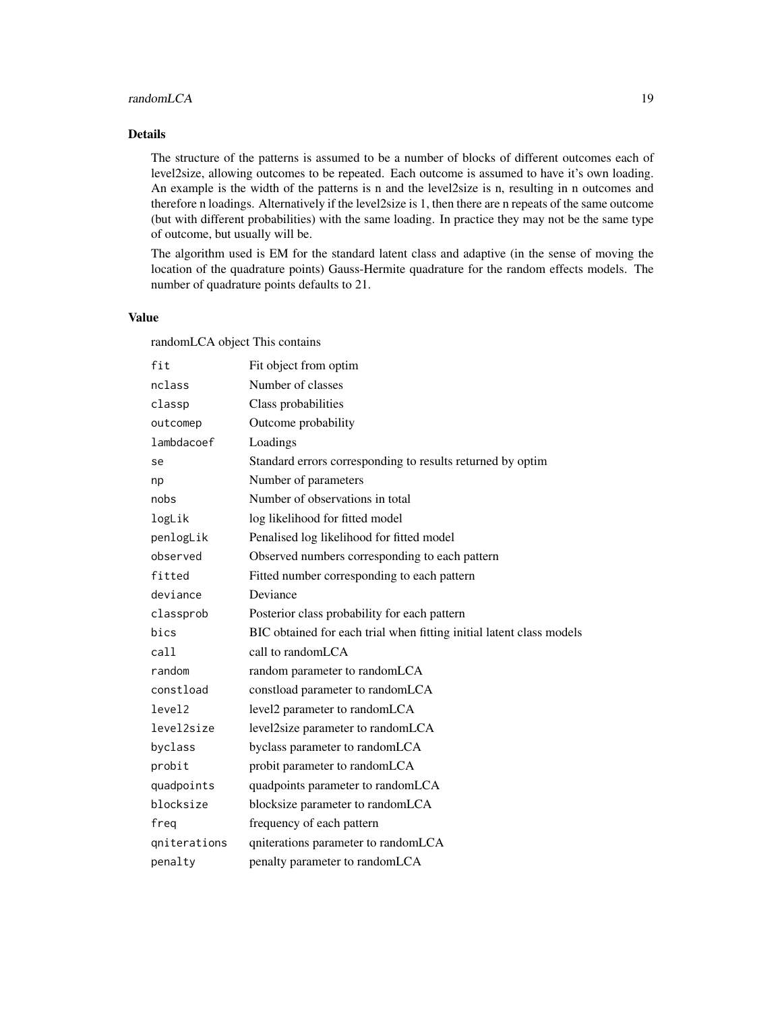#### randomLCA 19

## Details

The structure of the patterns is assumed to be a number of blocks of different outcomes each of level2size, allowing outcomes to be repeated. Each outcome is assumed to have it's own loading. An example is the width of the patterns is n and the level2size is n, resulting in n outcomes and therefore n loadings. Alternatively if the level2size is 1, then there are n repeats of the same outcome (but with different probabilities) with the same loading. In practice they may not be the same type of outcome, but usually will be.

The algorithm used is EM for the standard latent class and adaptive (in the sense of moving the location of the quadrature points) Gauss-Hermite quadrature for the random effects models. The number of quadrature points defaults to 21.

# Value

randomLCA object This contains

| fit                | Fit object from optim                                                |
|--------------------|----------------------------------------------------------------------|
| nclass             | Number of classes                                                    |
| classp             | Class probabilities                                                  |
| outcomep           | Outcome probability                                                  |
| lambdacoef         | Loadings                                                             |
| se                 | Standard errors corresponding to results returned by optim           |
| np                 | Number of parameters                                                 |
| nobs               | Number of observations in total                                      |
| logLik             | log likelihood for fitted model                                      |
| penlogLik          | Penalised log likelihood for fitted model                            |
| observed           | Observed numbers corresponding to each pattern                       |
| fitted             | Fitted number corresponding to each pattern                          |
| deviance           | Deviance                                                             |
| classprob          | Posterior class probability for each pattern                         |
| bics               | BIC obtained for each trial when fitting initial latent class models |
| call               | call to randomLCA                                                    |
| random             | random parameter to randomLCA                                        |
| constload          | constload parameter to randomLCA                                     |
| level <sub>2</sub> | level2 parameter to randomLCA                                        |
| level2size         | level2size parameter to randomLCA                                    |
| byclass            | byclass parameter to randomLCA                                       |
| probit             | probit parameter to randomLCA                                        |
| quadpoints         | quadpoints parameter to randomLCA                                    |
| blocksize          | blocksize parameter to randomLCA                                     |
| freq               | frequency of each pattern                                            |
| gniterations       | qniterations parameter to randomLCA                                  |
| penalty            | penalty parameter to randomLCA                                       |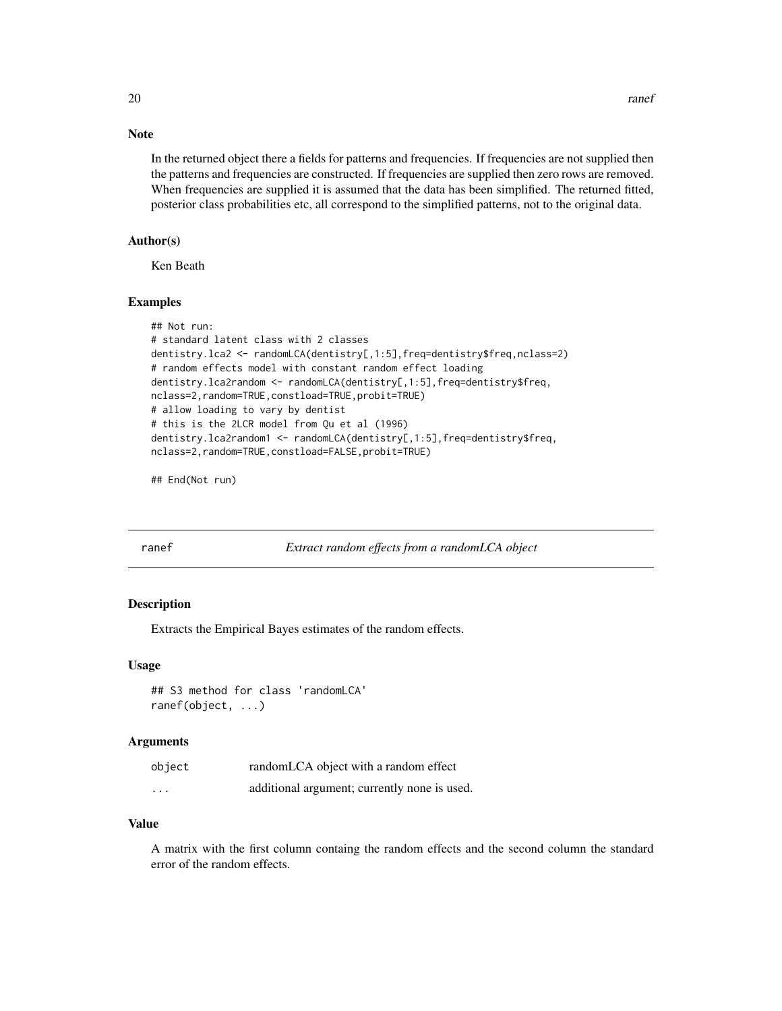## <span id="page-19-0"></span>Note

In the returned object there a fields for patterns and frequencies. If frequencies are not supplied then the patterns and frequencies are constructed. If frequencies are supplied then zero rows are removed. When frequencies are supplied it is assumed that the data has been simplified. The returned fitted, posterior class probabilities etc, all correspond to the simplified patterns, not to the original data.

### Author(s)

Ken Beath

#### Examples

```
## Not run:
# standard latent class with 2 classes
dentistry.lca2 <- randomLCA(dentistry[,1:5],freq=dentistry$freq,nclass=2)
# random effects model with constant random effect loading
dentistry.lca2random <- randomLCA(dentistry[,1:5],freq=dentistry$freq,
nclass=2,random=TRUE,constload=TRUE,probit=TRUE)
# allow loading to vary by dentist
# this is the 2LCR model from Qu et al (1996)
dentistry.lca2random1 <- randomLCA(dentistry[,1:5],freq=dentistry$freq,
nclass=2,random=TRUE,constload=FALSE,probit=TRUE)
```
## End(Not run)

ranef *Extract random effects from a randomLCA object*

#### Description

Extracts the Empirical Bayes estimates of the random effects.

#### Usage

```
## S3 method for class 'randomLCA'
ranef(object, ...)
```
#### Arguments

| object   | randomLCA object with a random effect        |
|----------|----------------------------------------------|
| $\cdots$ | additional argument; currently none is used. |

#### Value

A matrix with the first column containg the random effects and the second column the standard error of the random effects.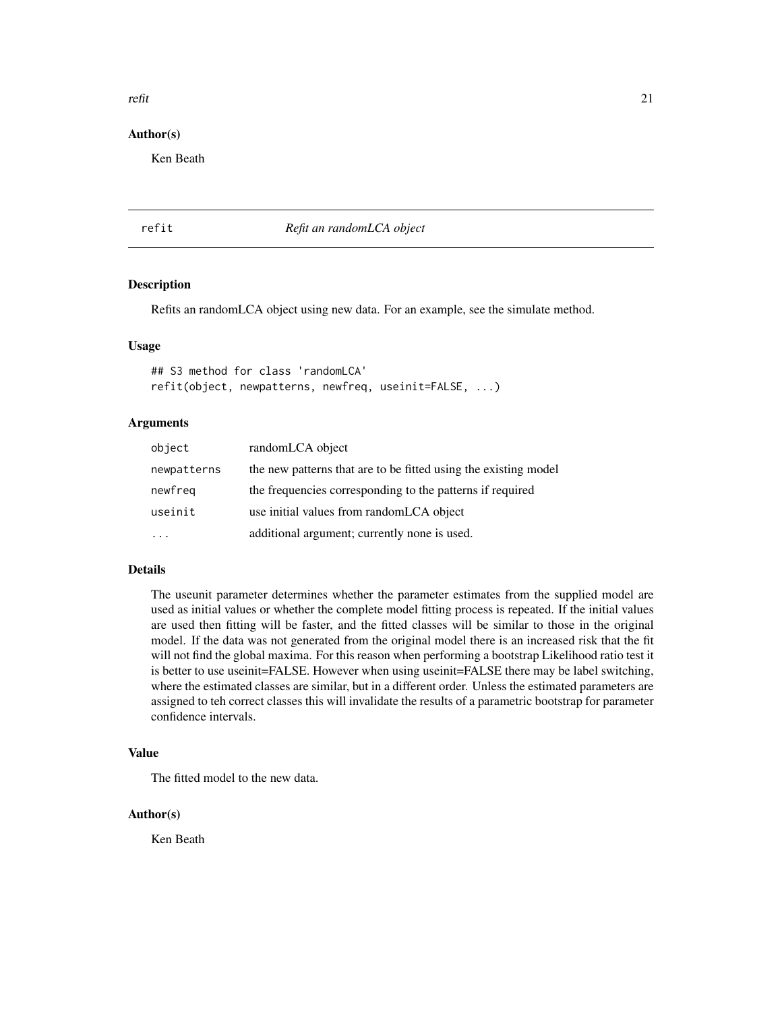#### <span id="page-20-0"></span>refit 21

#### Author(s)

Ken Beath

# refit *Refit an randomLCA object*

#### Description

Refits an randomLCA object using new data. For an example, see the simulate method.

#### Usage

## S3 method for class 'randomLCA' refit(object, newpatterns, newfreq, useinit=FALSE, ...)

#### Arguments

| object      | randomLCA object                                                |
|-------------|-----------------------------------------------------------------|
| newpatterns | the new patterns that are to be fitted using the existing model |
| newfreg     | the frequencies corresponding to the patterns if required       |
| useinit     | use initial values from randomLCA object                        |
|             | additional argument; currently none is used.                    |

#### Details

The useunit parameter determines whether the parameter estimates from the supplied model are used as initial values or whether the complete model fitting process is repeated. If the initial values are used then fitting will be faster, and the fitted classes will be similar to those in the original model. If the data was not generated from the original model there is an increased risk that the fit will not find the global maxima. For this reason when performing a bootstrap Likelihood ratio test it is better to use useinit=FALSE. However when using useinit=FALSE there may be label switching, where the estimated classes are similar, but in a different order. Unless the estimated parameters are assigned to teh correct classes this will invalidate the results of a parametric bootstrap for parameter confidence intervals.

# Value

The fitted model to the new data.

#### Author(s)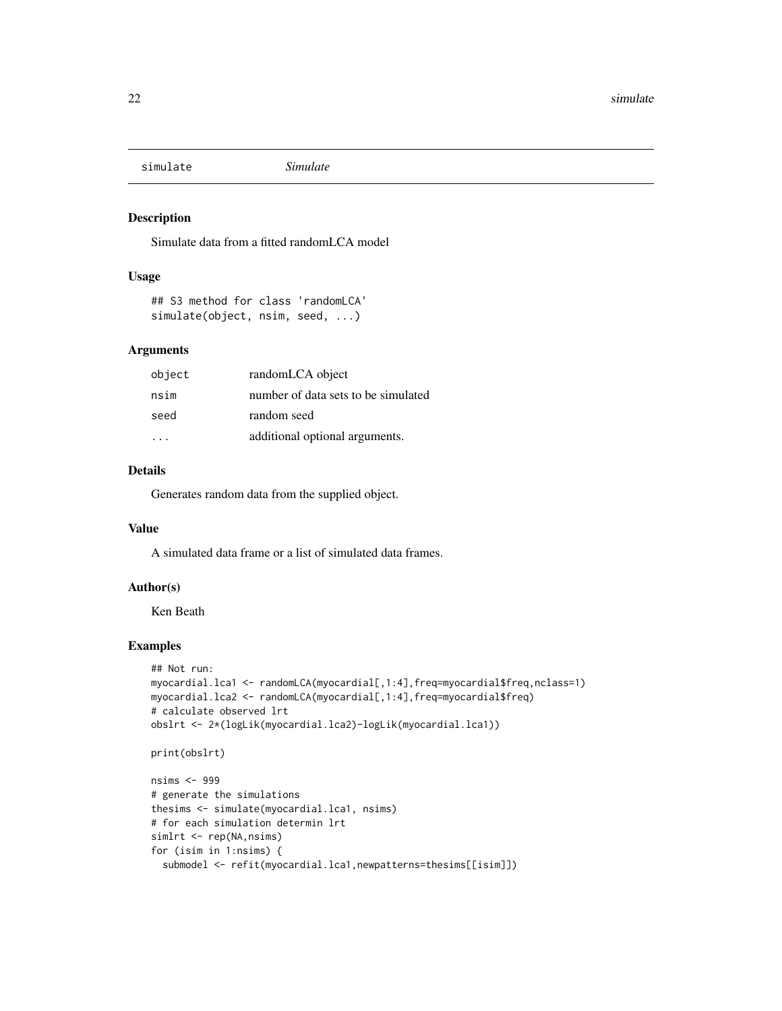<span id="page-21-0"></span>

Simulate data from a fitted randomLCA model

#### Usage

```
## S3 method for class 'randomLCA'
simulate(object, nsim, seed, ...)
```
# Arguments

| object | randomLCA object                    |
|--------|-------------------------------------|
| nsim   | number of data sets to be simulated |
| seed   | random seed                         |
|        | additional optional arguments.      |

# Details

Generates random data from the supplied object.

#### Value

A simulated data frame or a list of simulated data frames.

#### Author(s)

Ken Beath

# Examples

```
## Not run:
myocardial.lca1 <- randomLCA(myocardial[,1:4],freq=myocardial$freq,nclass=1)
myocardial.lca2 <- randomLCA(myocardial[,1:4],freq=myocardial$freq)
# calculate observed lrt
obslrt <- 2*(logLik(myocardial.lca2)-logLik(myocardial.lca1))
```

```
print(obslrt)
```

```
nsims <- 999
# generate the simulations
thesims <- simulate(myocardial.lca1, nsims)
# for each simulation determin lrt
simlrt <- rep(NA,nsims)
for (isim in 1:nsims) {
  submodel <- refit(myocardial.lca1,newpatterns=thesims[[isim]])
```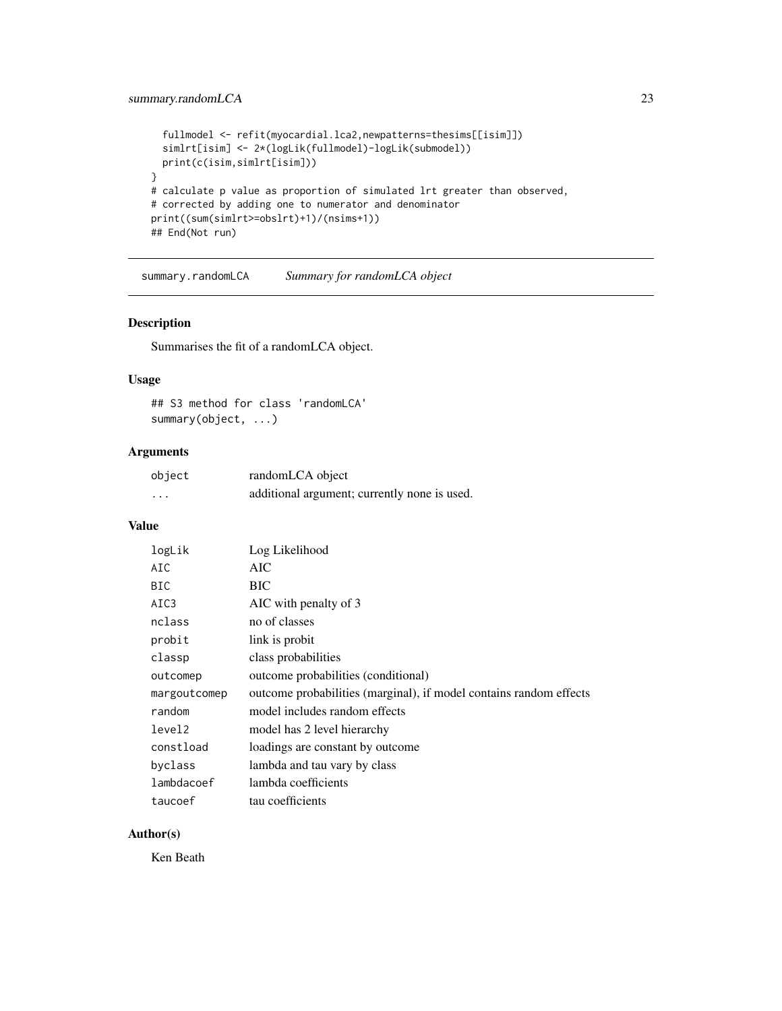# <span id="page-22-0"></span>summary.randomLCA 23

```
fullmodel <- refit(myocardial.lca2,newpatterns=thesims[[isim]])
 simlrt[isim] <- 2*(logLik(fullmodel)-logLik(submodel))
 print(c(isim,simlrt[isim]))
}
# calculate p value as proportion of simulated lrt greater than observed,
# corrected by adding one to numerator and denominator
print((sum(simlrt>=obslrt)+1)/(nsims+1))
## End(Not run)
```
summary.randomLCA *Summary for randomLCA object*

# Description

Summarises the fit of a randomLCA object.

# Usage

```
## S3 method for class 'randomLCA'
summary(object, ...)
```
# Arguments

| object | randomLCA object                             |
|--------|----------------------------------------------|
| .      | additional argument; currently none is used. |

#### Value

| logLik       | Log Likelihood                                                     |
|--------------|--------------------------------------------------------------------|
| AIC          | AIC.                                                               |
| BIC          | <b>BIC</b>                                                         |
| AIC3         | AIC with penalty of 3                                              |
| nclass       | no of classes                                                      |
| probit       | link is probit                                                     |
| classp       | class probabilities                                                |
| outcomep     | outcome probabilities (conditional)                                |
| margoutcomep | outcome probabilities (marginal), if model contains random effects |
| random       | model includes random effects                                      |
| level2       | model has 2 level hierarchy                                        |
| constload    | loadings are constant by outcome                                   |
| byclass      | lambda and tau vary by class                                       |
| lambdacoef   | lambda coefficients                                                |
| taucoef      | tau coefficients                                                   |

# Author(s)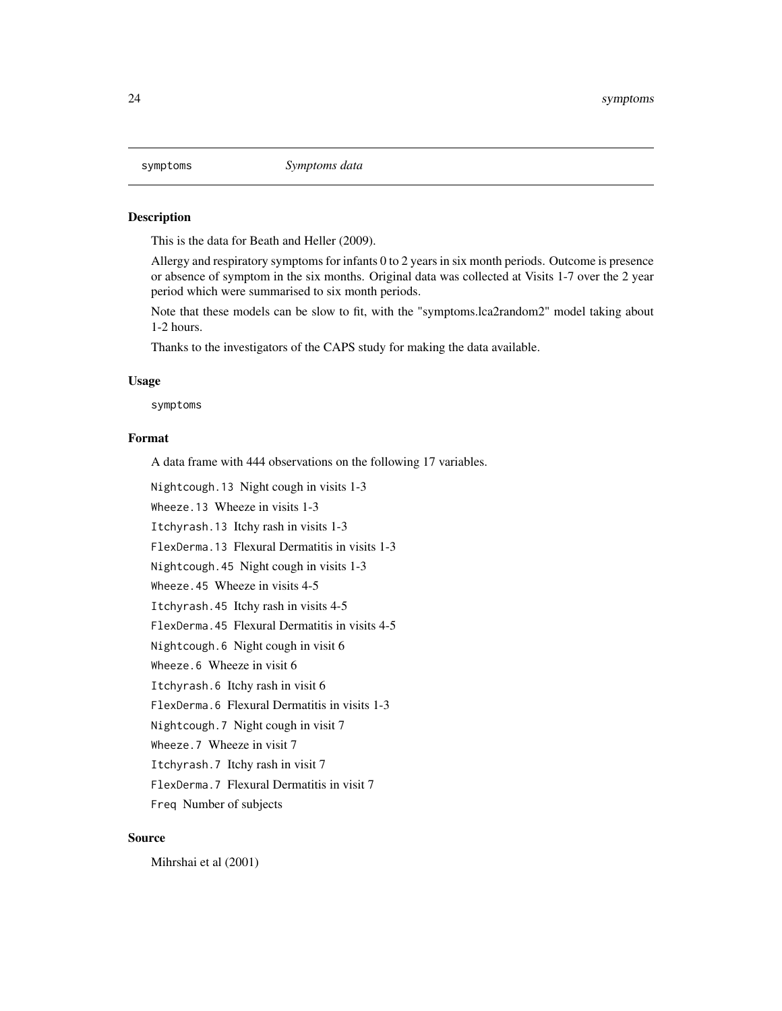<span id="page-23-0"></span>

This is the data for Beath and Heller (2009).

Allergy and respiratory symptoms for infants 0 to 2 years in six month periods. Outcome is presence or absence of symptom in the six months. Original data was collected at Visits 1-7 over the 2 year period which were summarised to six month periods.

Note that these models can be slow to fit, with the "symptoms.lca2random2" model taking about 1-2 hours.

Thanks to the investigators of the CAPS study for making the data available.

#### Usage

symptoms

#### Format

A data frame with 444 observations on the following 17 variables.

Nightcough.13 Night cough in visits 1-3

Wheeze.13 Wheeze in visits 1-3

Itchyrash.13 Itchy rash in visits 1-3

FlexDerma.13 Flexural Dermatitis in visits 1-3

Nightcough.45 Night cough in visits 1-3

Wheeze.45 Wheeze in visits 4-5

Itchyrash.45 Itchy rash in visits 4-5

FlexDerma.45 Flexural Dermatitis in visits 4-5

Nightcough.6 Night cough in visit 6

Wheeze.6 Wheeze in visit 6

Itchyrash.6 Itchy rash in visit 6

FlexDerma.6 Flexural Dermatitis in visits 1-3

Nightcough.7 Night cough in visit 7

Wheeze.7 Wheeze in visit 7

Itchyrash.7 Itchy rash in visit 7

FlexDerma.7 Flexural Dermatitis in visit 7

Freq Number of subjects

#### Source

Mihrshai et al (2001)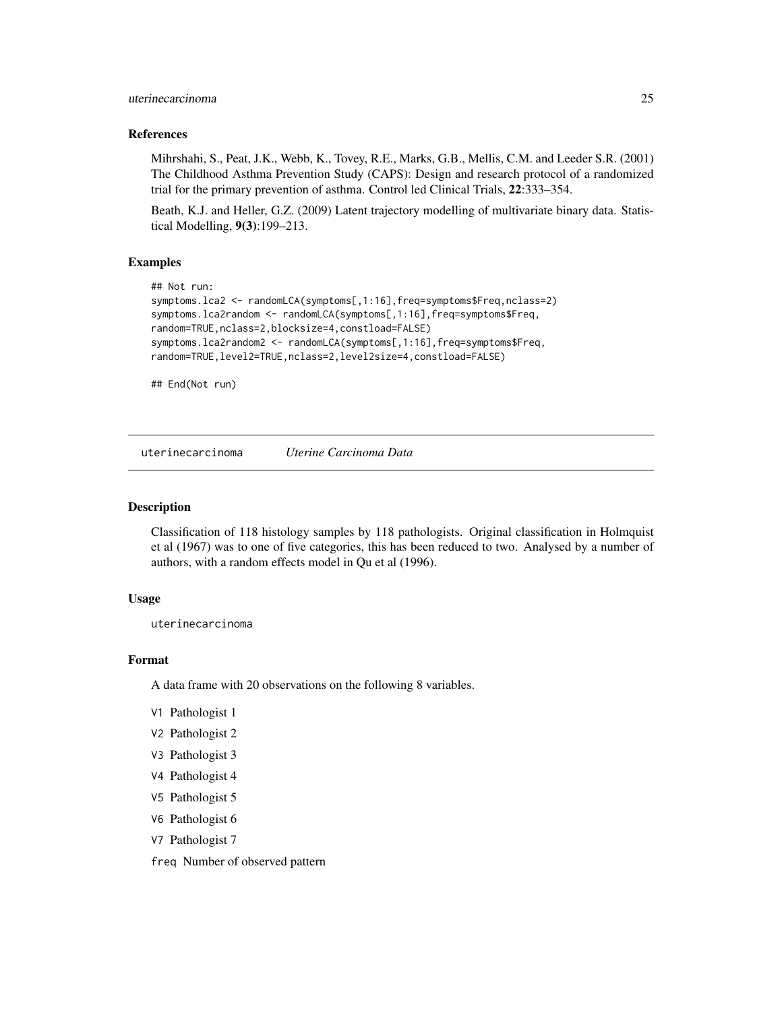#### <span id="page-24-0"></span>uterinecarcinoma 25

#### References

Mihrshahi, S., Peat, J.K., Webb, K., Tovey, R.E., Marks, G.B., Mellis, C.M. and Leeder S.R. (2001) The Childhood Asthma Prevention Study (CAPS): Design and research protocol of a randomized trial for the primary prevention of asthma. Control led Clinical Trials, 22:333–354.

Beath, K.J. and Heller, G.Z. (2009) Latent trajectory modelling of multivariate binary data. Statistical Modelling, 9(3):199–213.

#### Examples

```
## Not run:
symptoms.lca2 <- randomLCA(symptoms[,1:16],freq=symptoms$Freq,nclass=2)
symptoms.lca2random <- randomLCA(symptoms[,1:16],freq=symptoms$Freq,
random=TRUE,nclass=2,blocksize=4,constload=FALSE)
symptoms.lca2random2 <- randomLCA(symptoms[,1:16],freq=symptoms$Freq,
random=TRUE,level2=TRUE,nclass=2,level2size=4,constload=FALSE)
```
## End(Not run)

uterinecarcinoma *Uterine Carcinoma Data*

#### Description

Classification of 118 histology samples by 118 pathologists. Original classification in Holmquist et al (1967) was to one of five categories, this has been reduced to two. Analysed by a number of authors, with a random effects model in Qu et al (1996).

#### Usage

```
uterinecarcinoma
```
#### Format

A data frame with 20 observations on the following 8 variables.

- V1 Pathologist 1
- V2 Pathologist 2
- V3 Pathologist 3
- V4 Pathologist 4
- V5 Pathologist 5
- V6 Pathologist 6
- V7 Pathologist 7

freq Number of observed pattern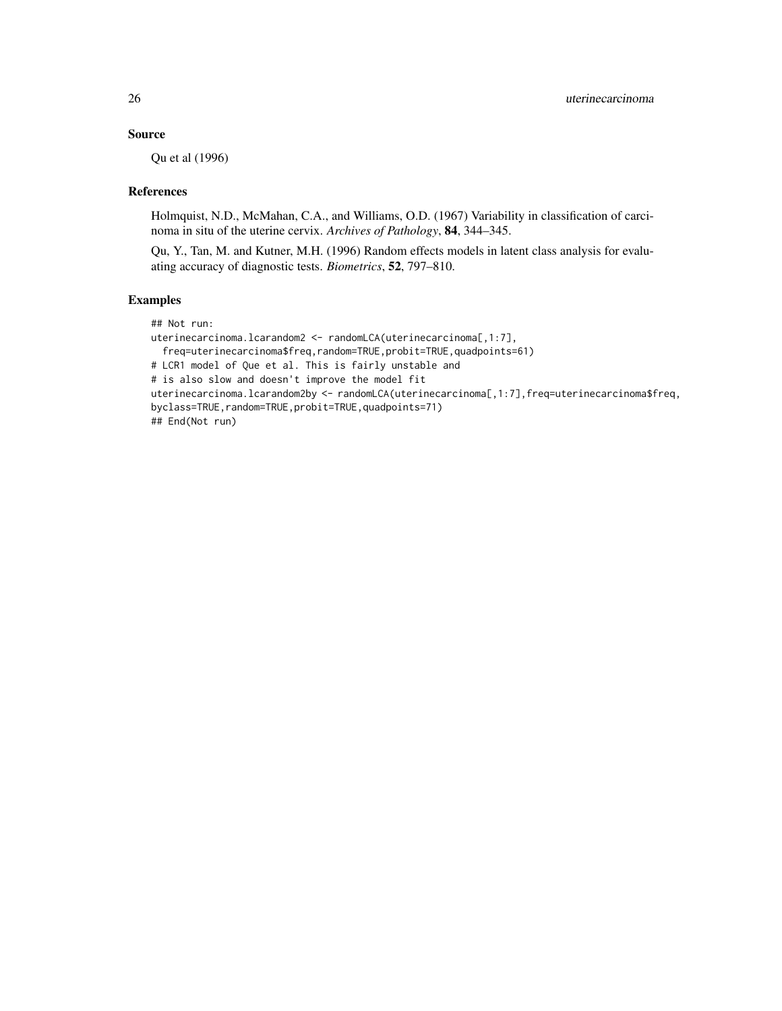# Source

Qu et al (1996)

#### References

Holmquist, N.D., McMahan, C.A., and Williams, O.D. (1967) Variability in classification of carcinoma in situ of the uterine cervix. *Archives of Pathology*, 84, 344–345.

Qu, Y., Tan, M. and Kutner, M.H. (1996) Random effects models in latent class analysis for evaluating accuracy of diagnostic tests. *Biometrics*, 52, 797–810.

#### Examples

## Not run: uterinecarcinoma.lcarandom2 <- randomLCA(uterinecarcinoma[,1:7], freq=uterinecarcinoma\$freq,random=TRUE,probit=TRUE,quadpoints=61) # LCR1 model of Que et al. This is fairly unstable and # is also slow and doesn't improve the model fit uterinecarcinoma.lcarandom2by <- randomLCA(uterinecarcinoma[,1:7],freq=uterinecarcinoma\$freq, byclass=TRUE,random=TRUE,probit=TRUE,quadpoints=71) ## End(Not run)